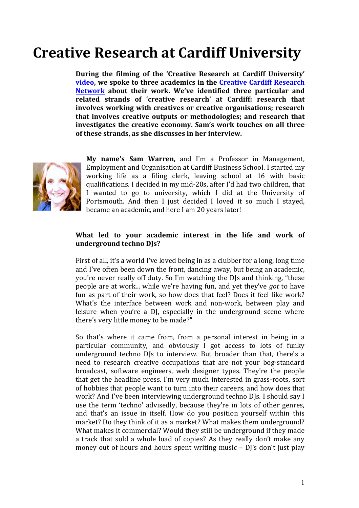# **Creative Research at Cardiff University**

During the filming of the 'Creative Research at Cardiff University' **video, we spoke to three academics in the Creative Cardiff Research Network** about their work. We've identified three particular and related strands of 'creative research' at Cardiff: research that **involves** working with creatives or creative organisations; research that involves creative outputs or methodologies; and research that investigates the creative economy. Sam's work touches on all three of these strands, as she discusses in her interview.



My name's Sam Warren, and I'm a Professor in Management, Employment and Organisation at Cardiff Business School. I started my working life as a filing clerk, leaving school at 16 with basic qualifications. I decided in my mid-20s, after I'd had two children, that I wanted to go to university, which I did at the University of Portsmouth. And then I just decided I loved it so much I stayed, became an academic, and here I am 20 years later!

## What led to your academic interest in the life and work of underground techno DJs?

First of all, it's a world I've loved being in as a clubber for a long, long time and I've often been down the front, dancing away, but being an academic, you're never really off duty. So I'm watching the DJs and thinking, "these people are at work... while we're having fun, and yet they've *got* to have fun as part of their work, so how does that feel? Does it feel like work? What's the interface between work and non-work, between play and leisure when you're a DJ, especially in the underground scene where there's very little money to be made?"

So that's where it came from, from a personal interest in being in a particular community, and obviously I got access to lots of funky underground techno DJs to interview. But broader than that, there's a need to research creative occupations that are not your bog-standard broadcast, software engineers, web designer types. They're the people that get the headline press. I'm very much interested in grass-roots, sort of hobbies that people want to turn into their careers, and how does that work? And I've been interviewing underground techno DJs. I should say I use the term 'techno' advisedly, because they're in lots of other genres, and that's an issue in itself. How do you position yourself within this market? Do they think of it as a market? What makes them underground? What makes it commercial? Would they still be underground if they made a track that sold a whole load of copies? As they really don't make any money out of hours and hours spent writing music  $-$  DJ's don't just play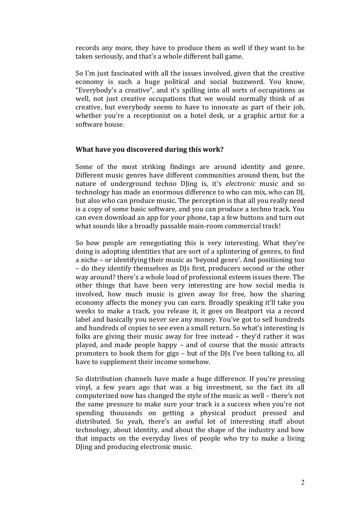records any more, they have to produce them as well if they want to be taken seriously, and that's a whole different ball game.

So I'm just fascinated with all the issues involved, given that the creative economy is such a huge political and social buzzword. You know, "Everybody's a creative", and it's spilling into all sorts of occupations as well, not just creative occupations that we would normally think of as creative, but everybody seems to have to innovate as part of their job, whether you're a receptionist on a hotel desk, or a graphic artist for a software house.

## **What have you discovered during this work?**

Some of the most striking findings are around identity and genre. Different music genres have different communities around them, but the nature of underground techno Dling is, it's *electronic* music and so technology has made an enormous difference to who can mix, who can DJ, but also who can produce music. The perception is that all you really need is a copy of some basic software, and you can produce a techno track. You can even download an app for your phone, tap a few buttons and turn out what sounds like a broadly passable main-room commercial track!

So how people are renegotiating this is very interesting. What they're doing is adopting identities that are sort of a splintering of genres, to find a niche – or identifying their music as 'beyond genre'. And positioning too – do they identify themselves as DJs first, producers second or the other way around? there's a whole load of professional esteem issues there. The other things that have been very interesting are how social media is involved, how much music is given away for free, how the sharing economy affects the money you can earn. Broadly speaking it'll take you weeks to make a track, you release it, it goes on Beatport via a record label and basically you never see any money. You've got to sell hundreds and hundreds of copies to see even a small return. So what's interesting is folks are giving their music away for free instead  $-$  they'd rather it was played, and made people happy  $-$  and of course that the music attracts promoters to book them for gigs – but of the DJs I've been talking to, all have to supplement their income somehow.

So distribution channels have made a huge difference. If you're pressing vinyl, a few years ago that was a big investment, so the fact its all computerized now has changed the style of the music as well – there's not the same pressure to make sure your track is a success when you're not spending thousands on getting a physical product pressed and distributed. So veah, there's an awful lot of interesting stuff about technology, about identity, and about the shape of the industry and how that impacts on the everyday lives of people who try to make a living Dling and producing electronic music.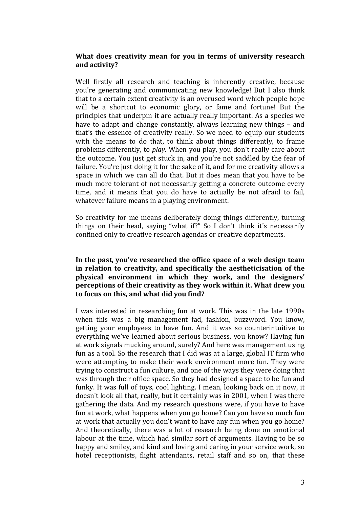## What does creativity mean for you in terms of university research **and activity?**

Well firstly all research and teaching is inherently creative, because you're generating and communicating new knowledge! But I also think that to a certain extent creativity is an overused word which people hope will be a shortcut to economic glory, or fame and fortune! But the principles that underpin it are actually really important. As a species we have to adapt and change constantly, always learning new things – and that's the essence of creativity really. So we need to equip our students with the means to do that, to think about things differently, to frame problems differently, to *play*. When you play, you don't really care about the outcome. You just get stuck in, and you're not saddled by the fear of failure. You're just doing it for the sake of it, and for me creativity allows a space in which we can all do that. But it does mean that you have to be much more tolerant of not necessarily getting a concrete outcome every time, and it means that you do have to actually be not afraid to fail, whatever failure means in a playing environment.

So creativity for me means deliberately doing things differently, turning things on their head, saying "what if?" So I don't think it's necessarily confined only to creative research agendas or creative departments.

## In the past, you've researched the office space of a web design team in relation to creativity, and specifically the aestheticisation of the physical environment in which they work, and the designers' **perceptions of their creativity as they work within it. What drew you** to focus on this, and what did you find?

I was interested in researching fun at work. This was in the late 1990s when this was a big management fad, fashion, buzzword. You know, getting your employees to have fun. And it was so counterintuitive to everything we've learned about serious business, you know? Having fun at work signals mucking around, surely? And here was management using fun as a tool. So the research that I did was at a large, global IT firm who were attempting to make their work environment more fun. They were trying to construct a fun culture, and one of the ways they were doing that was through their office space. So they had designed a space to be fun and funky. It was full of toys, cool lighting. I mean, looking back on it now, it doesn't look all that, really, but it certainly was in 2001, when I was there gathering the data. And my research questions were, if you have to have fun at work, what happens when you go home? Can you have so much fun at work that actually you don't want to have any fun when you go home? And theoretically, there was a lot of research being done on emotional labour at the time, which had similar sort of arguments. Having to be so happy and smiley, and kind and loving and caring in your service work, so hotel receptionists, flight attendants, retail staff and so on, that these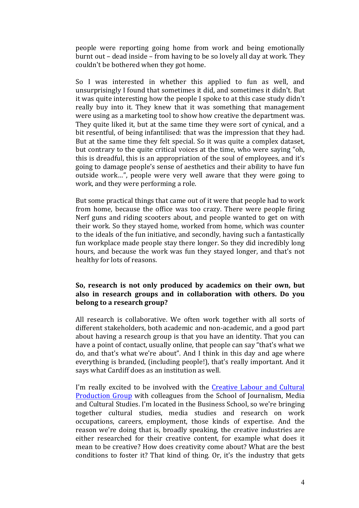people were reporting going home from work and being emotionally burnt out – dead inside – from having to be so lovely all day at work. They couldn't be bothered when they got home.

So I was interested in whether this applied to fun as well, and unsurprisingly I found that sometimes it did, and sometimes it didn't. But it was quite interesting how the people I spoke to at this case study didn't really buy into it. They knew that it was something that management were using as a marketing tool to show how creative the department was. They quite liked it, but at the same time they were sort of cynical, and a bit resentful, of being infantilised: that was the impression that they had. But at the same time they felt special. So it was quite a complex dataset, but contrary to the quite critical voices at the time, who were saying "oh, this is dreadful, this is an appropriation of the soul of employees, and it's going to damage people's sense of aesthetics and their ability to have fun outside work...", people were very well aware that they were going to work, and they were performing a role.

But some practical things that came out of it were that people had to work from home, because the office was too crazy. There were people firing Nerf guns and riding scooters about, and people wanted to get on with their work. So they stayed home, worked from home, which was counter to the ideals of the fun initiative, and secondly, having such a fantastically fun workplace made people stay there longer. So they did incredibly long hours, and because the work was fun they stayed longer, and that's not healthy for lots of reasons.

## So, research is not only produced by academics on their own, but also in research groups and in collaboration with others. Do you **belong** to a research group?

All research is collaborative. We often work together with all sorts of different stakeholders, both academic and non-academic, and a good part about having a research group is that you have an identity. That you can have a point of contact, usually online, that people can say "that's what we do, and that's what we're about". And I think in this day and age where everything is branded, (including people!), that's really important. And it says what Cardiff does as an institution as well.

I'm really excited to be involved with the Creative Labour and Cultural Production Group with colleagues from the School of Journalism, Media and Cultural Studies. I'm located in the Business School, so we're bringing together cultural studies, media studies and research on work occupations, careers, employment, those kinds of expertise. And the reason we're doing that is, broadly speaking, the creative industries are either researched for their creative content, for example what does it mean to be creative? How does creativity come about? What are the best conditions to foster it? That kind of thing. Or, it's the industry that gets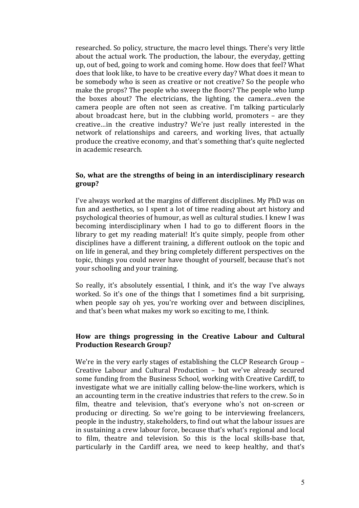researched. So policy, structure, the macro level things. There's very little about the actual work. The production, the labour, the everyday, getting up, out of bed, going to work and coming home. How does that feel? What does that look like, to have to be creative every day? What does it mean to be somebody who is seen as creative or not creative? So the people who make the props? The people who sweep the floors? The people who lump the boxes about? The electricians, the lighting, the camera...even the camera people are often not seen as creative. I'm talking particularly about broadcast here, but in the clubbing world, promoters  $-$  are they creative...in the creative industry? We're just really interested in the network of relationships and careers, and working lives, that actually produce the creative economy, and that's something that's quite neglected in academic research. 

## **So, what are the strengths of being in an interdisciplinary research group?**

I've always worked at the margins of different disciplines. My PhD was on fun and aesthetics, so I spent a lot of time reading about art history and psychological theories of humour, as well as cultural studies. I knew I was becoming interdisciplinary when I had to go to different floors in the library to get my reading material! It's quite simply, people from other disciplines have a different training, a different outlook on the topic and on life in general, and they bring completely different perspectives on the topic, things you could never have thought of yourself, because that's not your schooling and your training.

So really, it's absolutely essential, I think, and it's the way I've always worked. So it's one of the things that I sometimes find a bit surprising, when people say oh yes, you're working over and between disciplines, and that's been what makes my work so exciting to me, I think.

## How are things progressing in the Creative Labour and Cultural **Production Research Group?**

We're in the very early stages of establishing the CLCP Research Group  $-$ Creative Labour and Cultural Production - but we've already secured some funding from the Business School, working with Creative Cardiff, to investigate what we are initially calling below-the-line workers, which is an accounting term in the creative industries that refers to the crew. So in film, theatre and television, that's everyone who's not on-screen or producing or directing. So we're going to be interviewing freelancers, people in the industry, stakeholders, to find out what the labour issues are in sustaining a crew labour force, because that's what's regional and local to film, theatre and television. So this is the local skills-base that, particularly in the Cardiff area, we need to keep healthy, and that's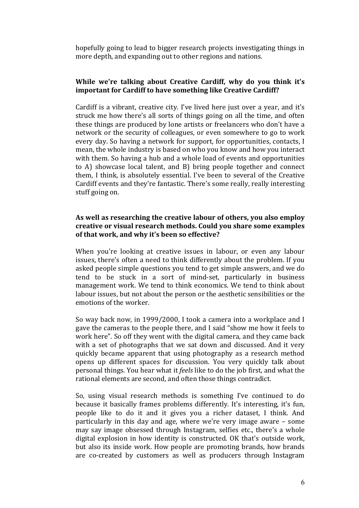hopefully going to lead to bigger research projects investigating things in more depth, and expanding out to other regions and nations.

## **While** we're talking about Creative Cardiff, why do you think it's **important for Cardiff to have something like Creative Cardiff?**

Cardiff is a vibrant, creative city. I've lived here just over a year, and it's struck me how there's all sorts of things going on all the time, and often these things are produced by lone artists or freelancers who don't have a network or the security of colleagues, or even somewhere to go to work every day. So having a network for support, for opportunities, contacts, I mean, the whole industry is based on who you know and how you interact with them. So having a hub and a whole load of events and opportunities to A) showcase local talent, and B) bring people together and connect them. I think, is absolutely essential. I've been to several of the Creative Cardiff events and they're fantastic. There's some really, really interesting stuff going on.

## As well as researching the creative labour of others, you also employ creative or visual research methods. Could you share some examples of that work, and why it's been so effective?

When you're looking at creative issues in labour, or even any labour issues, there's often a need to think differently about the problem. If you asked people simple questions you tend to get simple answers, and we do tend to be stuck in a sort of mind-set, particularly in business management work. We tend to think economics. We tend to think about labour issues, but not about the person or the aesthetic sensibilities or the emotions of the worker.

So way back now, in 1999/2000, I took a camera into a workplace and I gave the cameras to the people there, and I said "show me how it feels to work here". So off they went with the digital camera, and they came back with a set of photographs that we sat down and discussed. And it very quickly became apparent that using photography as a research method opens up different spaces for discussion. You very quickly talk about personal things. You hear what it *feels* like to do the job first, and what the rational elements are second, and often those things contradict.

So, using visual research methods is something I've continued to do because it basically frames problems differently. It's interesting, it's fun, people like to do it and it gives you a richer dataset, I think. And particularly in this day and age, where we're very image aware  $-$  some may say image obsessed through Instagram, selfies etc., there's a whole digital explosion in how identity is constructed. OK that's outside work, but also its inside work. How people are promoting brands, how brands are co-created by customers as well as producers through Instagram